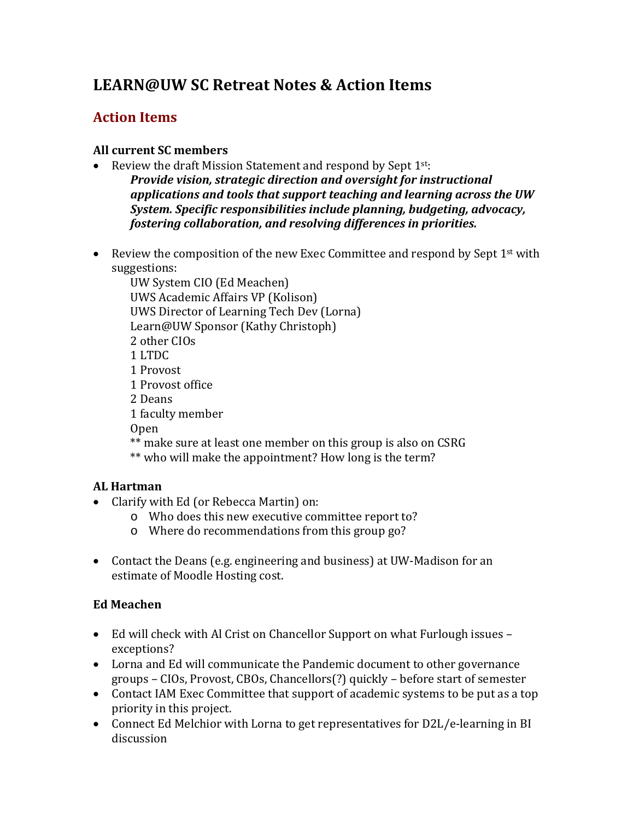# **LEARN@UW SC Retreat Notes & Action Items**

# **Action Items**

### **All current SC members**

- Review the draft Mission Statement and respond by Sept  $1^{st}$ : *Provide vision, strategic direction and oversight for instructional applications and tools that support teaching and learning across the UW System. Specific responsibilities include planning, budgeting, advocacy, fostering collaboration, and resolving differences in priorities.*
- Review the composition of the new Exec Committee and respond by Sept  $1<sup>st</sup>$  with suggestions:

UW System CIO (Ed Meachen) UWS Academic Affairs VP (Kolison) UWS Director of Learning Tech Dev (Lorna) Learn@UW Sponsor (Kathy Christoph) 2 other CIOs 1 LTDC 1 Provost 1 Provost office 2 Deans 1 faculty member Open \*\* make sure at least one member on this group is also on CSRG \*\* who will make the appointment? How long is the term?

### **AL Hartman**

- Clarify with Ed (or Rebecca Martin) on:
	- o Who does this new executive committee report to?
	- o Where do recommendations from this group go?
- Contact the Deans (e.g. engineering and business) at UW-Madison for an estimate of Moodle Hosting cost.

# **Ed Meachen**

- Ed will check with Al Crist on Chancellor Support on what Furlough issues exceptions?
- Lorna and Ed will communicate the Pandemic document to other governance groups – CIOs, Provost, CBOs, Chancellors(?) quickly – before start of semester
- Contact IAM Exec Committee that support of academic systems to be put as a top priority in this project.
- Connect Ed Melchior with Lorna to get representatives for D2L/e-learning in BI discussion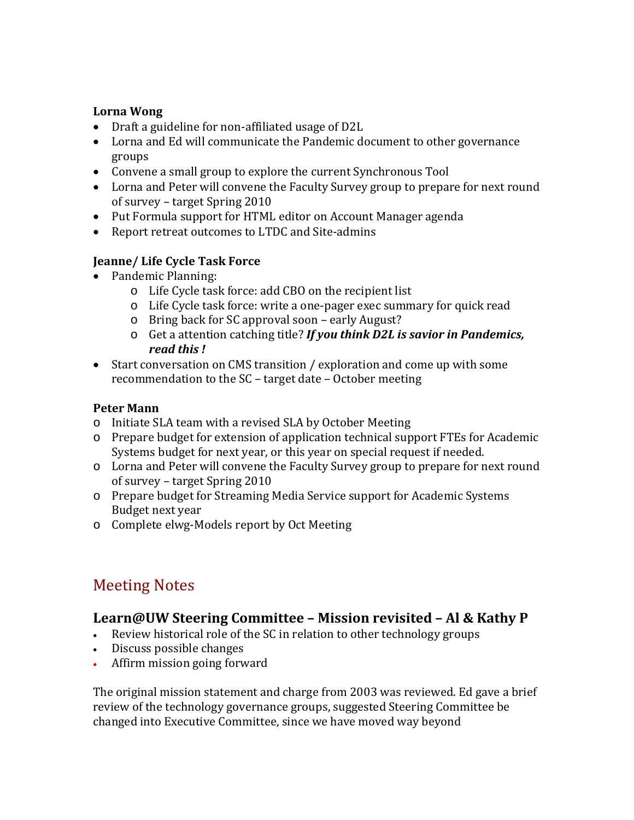### **Lorna Wong**

- Draft a guideline for non-affiliated usage of D2L
- Lorna and Ed will communicate the Pandemic document to other governance groups
- Convene a small group to explore the current Synchronous Tool
- Lorna and Peter will convene the Faculty Survey group to prepare for next round of survey – target Spring 2010
- Put Formula support for HTML editor on Account Manager agenda
- Report retreat outcomes to LTDC and Site-admins

# **Jeanne/ Life Cycle Task Force**

- Pandemic Planning:
	- o Life Cycle task force: add CBO on the recipient list
	- o Life Cycle task force: write a one-pager exec summary for quick read
	- o Bring back for SC approval soon early August?
	- o Get a attention catching title? *If you think D2L is savior in Pandemics, read this !*
- Start conversation on CMS transition / exploration and come up with some recommendation to the SC – target date – October meeting

### **Peter Mann**

- o Initiate SLA team with a revised SLA by October Meeting
- o Prepare budget for extension of application technical support FTEs for Academic Systems budget for next year, or this year on special request if needed.
- o Lorna and Peter will convene the Faculty Survey group to prepare for next round of survey – target Spring 2010
- o Prepare budget for Streaming Media Service support for Academic Systems Budget next year
- o Complete elwg-Models report by Oct Meeting

# Meeting Notes

# **Learn@UW Steering Committee – Mission revisited – Al & Kathy P**

- Review historical role of the SC in relation to other technology groups
- Discuss possible changes
- Affirm mission going forward

The original mission statement and charge from 2003 was reviewed. Ed gave a brief review of the technology governance groups, suggested Steering Committee be changed into Executive Committee, since we have moved way beyond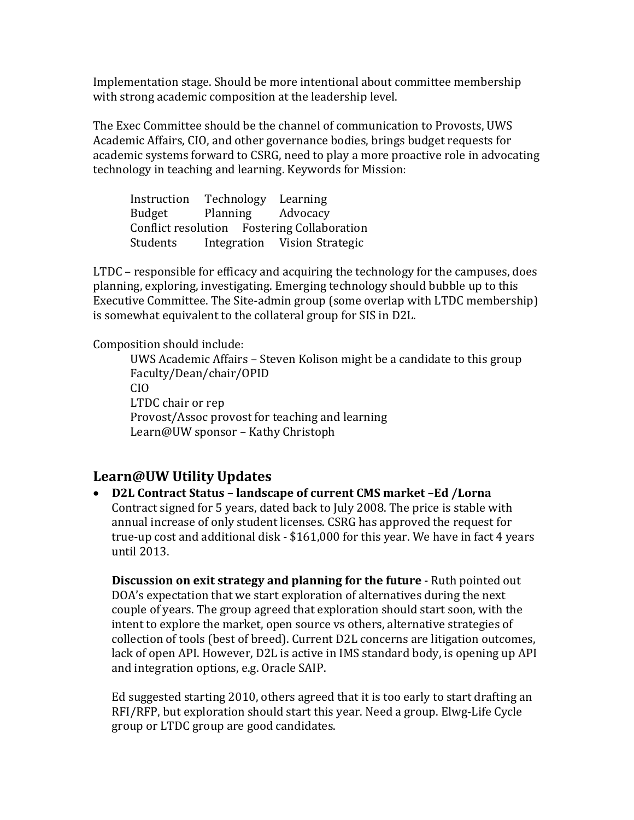Implementation stage. Should be more intentional about committee membership with strong academic composition at the leadership level.

The Exec Committee should be the channel of communication to Provosts, UWS Academic Affairs, CIO, and other governance bodies, brings budget requests for academic systems forward to CSRG, need to play a more proactive role in advocating technology in teaching and learning. Keywords for Mission:

Instruction Technology Learning<br>
Budget Planning Advocacv Advocacy Conflict resolution Fostering Collaboration<br>Students Integration Vision Strategic Integration Vision Strategic

LTDC – responsible for efficacy and acquiring the technology for the campuses, does planning, exploring, investigating. Emerging technology should bubble up to this Executive Committee. The Site-admin group (some overlap with LTDC membership) is somewhat equivalent to the collateral group for SIS in D2L.

Composition should include:

UWS Academic Affairs – Steven Kolison might be a candidate to this group Faculty/Dean/chair/OPID CIO LTDC chair or rep Provost/Assoc provost for teaching and learning Learn@UW sponsor – Kathy Christoph

# **Learn@UW Utility Updates**

• **D2L Contract Status – landscape of current CMS market –Ed /Lorna** Contract signed for 5 years, dated back to July 2008. The price is stable with annual increase of only student licenses. CSRG has approved the request for true-up cost and additional disk - \$161,000 for this year. We have in fact 4 years until 2013.

**Discussion on exit strategy and planning for the future** - Ruth pointed out DOA's expectation that we start exploration of alternatives during the next couple of years. The group agreed that exploration should start soon, with the intent to explore the market, open source vs others, alternative strategies of collection of tools (best of breed). Current D2L concerns are litigation outcomes, lack of open API. However, D2L is active in IMS standard body, is opening up API and integration options, e.g. Oracle SAIP.

Ed suggested starting 2010, others agreed that it is too early to start drafting an RFI/RFP, but exploration should start this year. Need a group. Elwg-Life Cycle group or LTDC group are good candidates.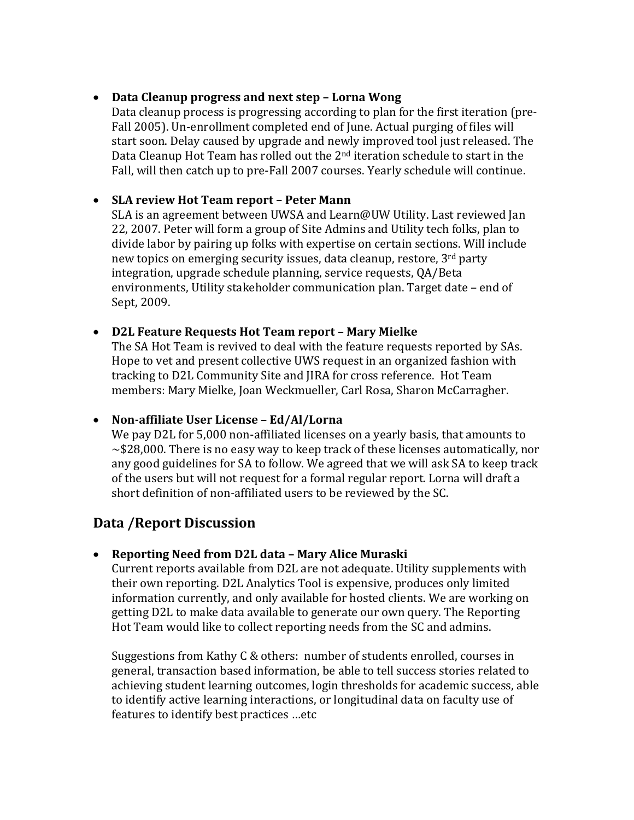#### • **Data Cleanup progress and next step – Lorna Wong**

Data cleanup process is progressing according to plan for the first iteration (pre-Fall 2005). Un-enrollment completed end of June. Actual purging of files will start soon. Delay caused by upgrade and newly improved tool just released. The Data Cleanup Hot Team has rolled out the 2nd iteration schedule to start in the Fall, will then catch up to pre-Fall 2007 courses. Yearly schedule will continue.

### • **SLA review Hot Team report – Peter Mann**

SLA is an agreement between UWSA and Learn@UW Utility. Last reviewed Jan 22, 2007. Peter will form a group of Site Admins and Utility tech folks, plan to divide labor by pairing up folks with expertise on certain sections. Will include new topics on emerging security issues, data cleanup, restore, 3rd party integration, upgrade schedule planning, service requests, QA/Beta environments, Utility stakeholder communication plan. Target date – end of Sept, 2009.

#### • **D2L Feature Requests Hot Team report – Mary Mielke**

The SA Hot Team is revived to deal with the feature requests reported by SAs. Hope to vet and present collective UWS request in an organized fashion with tracking to D2L Community Site and JIRA for cross reference. Hot Team members: Mary Mielke, Joan Weckmueller, Carl Rosa, Sharon McCarragher.

#### • **Non-affiliate User License – Ed/Al/Lorna**

We pay D2L for 5,000 non-affiliated licenses on a yearly basis, that amounts to  $\sim$ \$28,000. There is no easy way to keep track of these licenses automatically, nor any good guidelines for SA to follow. We agreed that we will ask SA to keep track of the users but will not request for a formal regular report. Lorna will draft a short definition of non-affiliated users to be reviewed by the SC.

# **Data /Report Discussion**

### • **Reporting Need from D2L data – Mary Alice Muraski**

Current reports available from D2L are not adequate. Utility supplements with their own reporting. D2L Analytics Tool is expensive, produces only limited information currently, and only available for hosted clients. We are working on getting D2L to make data available to generate our own query. The Reporting Hot Team would like to collect reporting needs from the SC and admins.

Suggestions from Kathy C & others: number of students enrolled, courses in general, transaction based information, be able to tell success stories related to achieving student learning outcomes, login thresholds for academic success, able to identify active learning interactions, or longitudinal data on faculty use of features to identify best practices …etc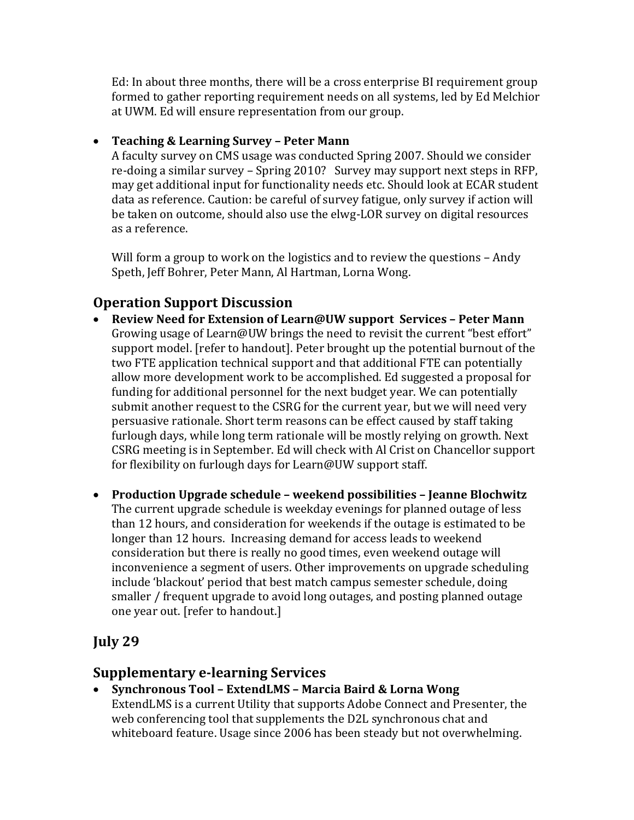Ed: In about three months, there will be a cross enterprise BI requirement group formed to gather reporting requirement needs on all systems, led by Ed Melchior at UWM. Ed will ensure representation from our group.

### • **Teaching & Learning Survey – Peter Mann**

A faculty survey on CMS usage was conducted Spring 2007. Should we consider re-doing a similar survey – Spring 2010? Survey may support next steps in RFP, may get additional input for functionality needs etc. Should look at ECAR student data as reference. Caution: be careful of survey fatigue, only survey if action will be taken on outcome, should also use the elwg-LOR survey on digital resources as a reference.

Will form a group to work on the logistics and to review the questions – Andy Speth, Jeff Bohrer, Peter Mann, Al Hartman, Lorna Wong.

# **Operation Support Discussion**

- **Review Need for Extension of Learn@UW support Services – Peter Mann** Growing usage of Learn@UW brings the need to revisit the current "best effort" support model. [refer to handout]. Peter brought up the potential burnout of the two FTE application technical support and that additional FTE can potentially allow more development work to be accomplished. Ed suggested a proposal for funding for additional personnel for the next budget year. We can potentially submit another request to the CSRG for the current year, but we will need very persuasive rationale. Short term reasons can be effect caused by staff taking furlough days, while long term rationale will be mostly relying on growth. Next CSRG meeting is in September. Ed will check with Al Crist on Chancellor support for flexibility on furlough days for Learn@UW support staff.
- **Production Upgrade schedule – weekend possibilities – Jeanne Blochwitz** The current upgrade schedule is weekday evenings for planned outage of less than 12 hours, and consideration for weekends if the outage is estimated to be longer than 12 hours. Increasing demand for access leads to weekend consideration but there is really no good times, even weekend outage will inconvenience a segment of users. Other improvements on upgrade scheduling include 'blackout' period that best match campus semester schedule, doing smaller / frequent upgrade to avoid long outages, and posting planned outage one year out. [refer to handout.]

# **July 29**

# **Supplementary e-learning Services**

• **Synchronous Tool – ExtendLMS – Marcia Baird & Lorna Wong** ExtendLMS is a current Utility that supports Adobe Connect and Presenter, the web conferencing tool that supplements the D2L synchronous chat and whiteboard feature. Usage since 2006 has been steady but not overwhelming.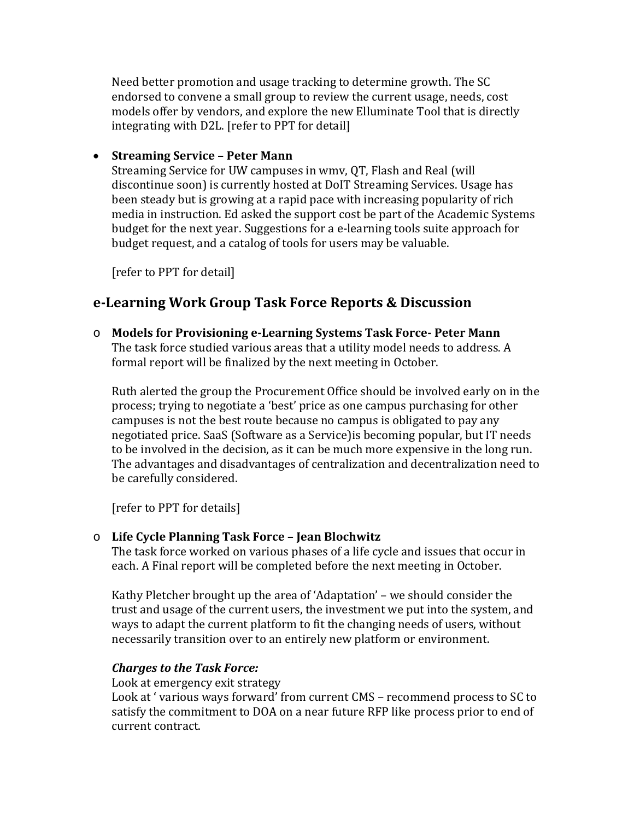Need better promotion and usage tracking to determine growth. The SC endorsed to convene a small group to review the current usage, needs, cost models offer by vendors, and explore the new Elluminate Tool that is directly integrating with D2L. [refer to PPT for detail]

### • **Streaming Service – Peter Mann**

Streaming Service for UW campuses in wmv, QT, Flash and Real (will discontinue soon) is currently hosted at DoIT Streaming Services. Usage has been steady but is growing at a rapid pace with increasing popularity of rich media in instruction. Ed asked the support cost be part of the Academic Systems budget for the next year. Suggestions for a e-learning tools suite approach for budget request, and a catalog of tools for users may be valuable.

[refer to PPT for detail]

# **e-Learning Work Group Task Force Reports & Discussion**

o **Models for Provisioning e-Learning Systems Task Force- Peter Mann** The task force studied various areas that a utility model needs to address. A formal report will be finalized by the next meeting in October.

Ruth alerted the group the Procurement Office should be involved early on in the process; trying to negotiate a 'best' price as one campus purchasing for other campuses is not the best route because no campus is obligated to pay any negotiated price. SaaS (Software as a Service)is becoming popular, but IT needs to be involved in the decision, as it can be much more expensive in the long run. The advantages and disadvantages of centralization and decentralization need to be carefully considered.

[refer to PPT for details]

#### o **Life Cycle Planning Task Force – Jean Blochwitz**

The task force worked on various phases of a life cycle and issues that occur in each. A Final report will be completed before the next meeting in October.

Kathy Pletcher brought up the area of 'Adaptation' – we should consider the trust and usage of the current users, the investment we put into the system, and ways to adapt the current platform to fit the changing needs of users, without necessarily transition over to an entirely new platform or environment.

#### *Charges to the Task Force:*

Look at emergency exit strategy

Look at ' various ways forward' from current CMS – recommend process to SC to satisfy the commitment to DOA on a near future RFP like process prior to end of current contract.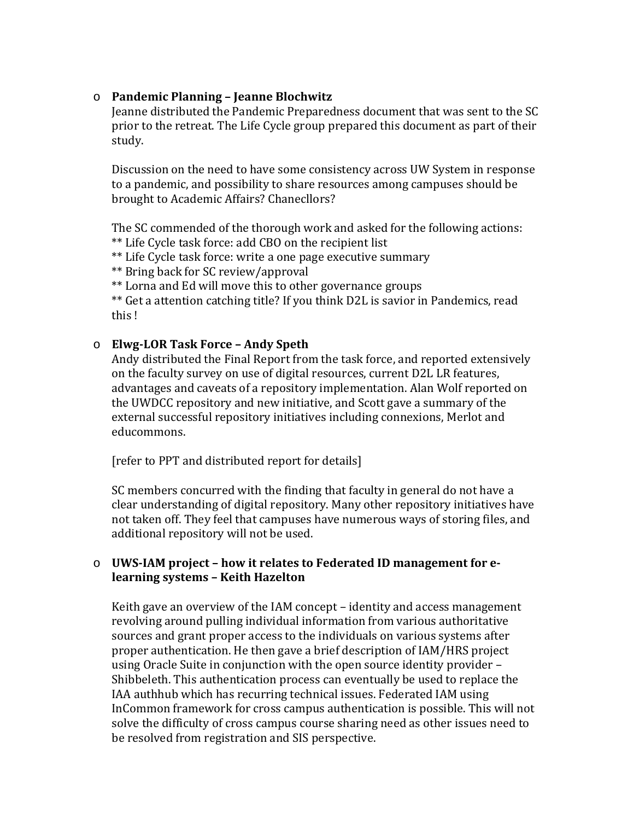#### o **Pandemic Planning – Jeanne Blochwitz**

Jeanne distributed the Pandemic Preparedness document that was sent to the SC prior to the retreat. The Life Cycle group prepared this document as part of their study.

Discussion on the need to have some consistency across UW System in response to a pandemic, and possibility to share resources among campuses should be brought to Academic Affairs? Chanecllors?

The SC commended of the thorough work and asked for the following actions: \*\* Life Cycle task force: add CBO on the recipient list

\*\* Life Cycle task force: write a one page executive summary

\*\* Bring back for SC review/approval

\*\* Lorna and Ed will move this to other governance groups

\*\* Get a attention catching title? If you think D2L is savior in Pandemics, read this !

### o **Elwg-LOR Task Force – Andy Speth**

Andy distributed the Final Report from the task force, and reported extensively on the faculty survey on use of digital resources, current D2L LR features, advantages and caveats of a repository implementation. Alan Wolf reported on the UWDCC repository and new initiative, and Scott gave a summary of the external successful repository initiatives including connexions, Merlot and educommons.

[refer to PPT and distributed report for details]

SC members concurred with the finding that faculty in general do not have a clear understanding of digital repository. Many other repository initiatives have not taken off. They feel that campuses have numerous ways of storing files, and additional repository will not be used.

#### o **UWS-IAM project – how it relates to Federated ID management for elearning systems – Keith Hazelton**

Keith gave an overview of the IAM concept – identity and access management revolving around pulling individual information from various authoritative sources and grant proper access to the individuals on various systems after proper authentication. He then gave a brief description of IAM/HRS project using Oracle Suite in conjunction with the open source identity provider – Shibbeleth. This authentication process can eventually be used to replace the IAA authhub which has recurring technical issues. Federated IAM using InCommon framework for cross campus authentication is possible. This will not solve the difficulty of cross campus course sharing need as other issues need to be resolved from registration and SIS perspective.